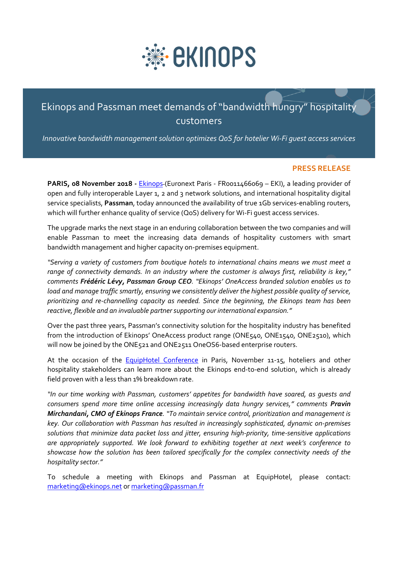

# Ekinops and Passman meet demands of "bandwidth hungry" hospitality customers

*Innovative bandwidth management solution optimizes QoS for hotelier Wi-Fi guest access services* 

#### **PRESS RELEASE communication service providers and enterprises**

**PARIS, 08 November 2018 -** [Ekinops](http://www.ekinops.net/) (Euronext Paris - FR0011466069 – EKI), a leading provider of open and fully interoperable Layer 1, 2 and 3 network solutions, and international hospitality digital service specialists, **Passman**, today announced the availability of true 1Gb services-enabling routers, out the specialists**; I assimari,** loady allinositied the availability of the 198 services endomi<br>which will further enhance quality of service (QoS) delivery for Wi-Fi guest access services.

The upgrade marks the next stage in an enduring collaboration between the two companies and will enable Passman to meet the increasing data demands of hospitality customers with smart bandwidth management and higher capacity on-premises equipment.

*"Serving a variety of customers from boutique hotels to international chains means we must meet a range of connectivity demands. In an industry where the customer is always first, reliability is key," comments Frédéric Lévy, Passman Group CEO. "Ekinops' OneAccess branded solution enables us to load and manage traffic smartly, ensuring we consistently deliver the highest possible quality of service, prioritizing and re-channelling capacity as needed. Since the beginning, the Ekinops team has been reactive, flexible and an invaluable partner supporting our international expansion."* 

Over the past three years, Passman's connectivity solution for the hospitality industry has benefited from the introduction of Ekinops' OneAccess product range (ONE540, ONE1540, ONE2510), which will now be joined by the ONE521 and ONE2511 OneOS6-based enterprise routers.

At the occasion of the **[EquipHotel Conference](http://www.equiphotel.com/)** in Paris, November 11-15, hoteliers and other hospitality stakeholders can learn more about the Ekinops end-to-end solution, which is already field proven with a less than 1% breakdown rate.

*"In our time working with Passman, customers' appetites for bandwidth have soared, as guests and consumers spend more time online accessing increasingly data hungry services," comments Pravin Mirchandani, CMO of Ekinops France. "To maintain service control, prioritization and management is key. Our collaboration with Passman has resulted in increasingly sophisticated, dynamic on-premises solutions that minimize data packet loss and jitter, ensuring high-priority, time-sensitive applications are appropriately supported. We look forward to exhibiting together at next week's conference to showcase how the solution has been tailored specifically for the complex connectivity needs of the hospitality sector."*

To schedule a meeting with Ekinops and Passman at EquipHotel, please contact: [marketing@ekinops.net](mailto:marketing@ekinops.net) o[r marketing@passman.fr](mailto:marketing@passman.fr)